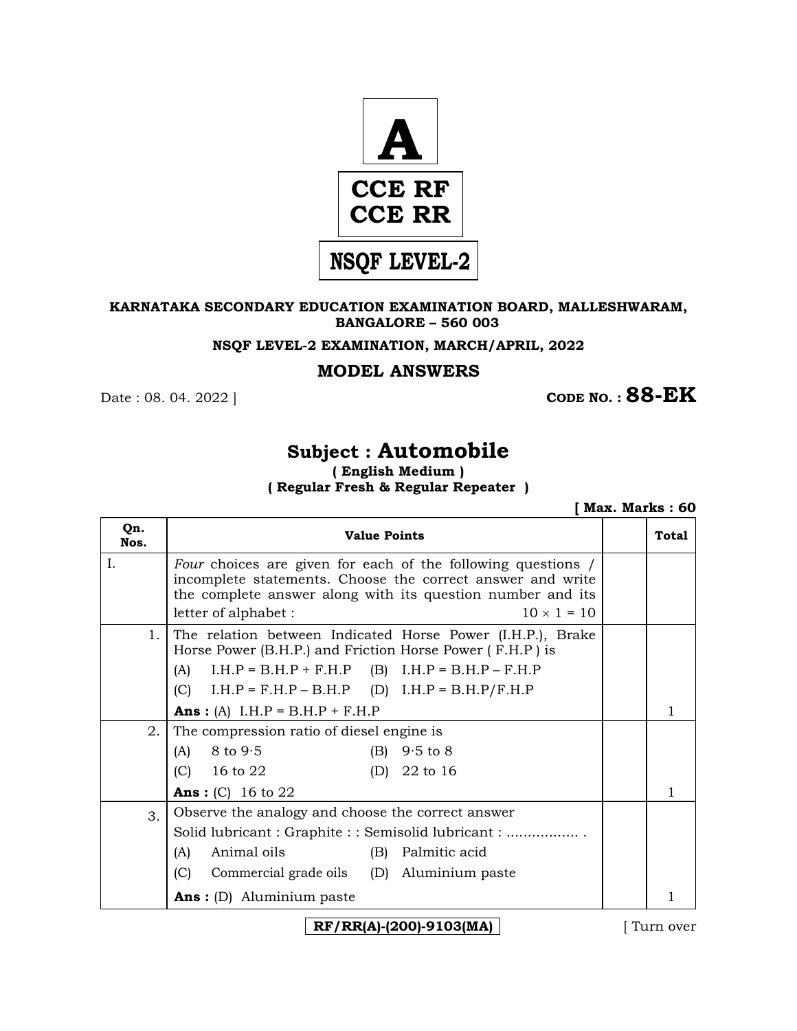

#### **KARNATAKA SECONDARY EDUCATION EXAMINATION BOARD, MALLESHWARAM, BANGALORE – 560 003**

**NSQF LEVEL-2 EXAMINATION, MARCH/APRIL, 2022** 

### **MODEL ANSWERS**

**CODE NO. : 88-EK**  $\blacksquare$  **CODE NO. : 88-EK** 

# **Subject : Automobile**

**( English Medium ) ( Regular Fresh & Regular Repeater )**

|             |                                                                                                                                                                                                                                               | Max. Marks: 60 |
|-------------|-----------------------------------------------------------------------------------------------------------------------------------------------------------------------------------------------------------------------------------------------|----------------|
| Qn.<br>Nos. | <b>Value Points</b>                                                                                                                                                                                                                           | Total          |
| Ι.          | <i>Four</i> choices are given for each of the following questions /<br>incomplete statements. Choose the correct answer and write<br>the complete answer along with its question number and its<br>$10 \times 1 = 10$<br>letter of alphabet : |                |
| $1_{\cdot}$ | The relation between Indicated Horse Power (I.H.P.), Brake<br>Horse Power (B.H.P.) and Friction Horse Power (F.H.P) is                                                                                                                        |                |
|             | $I.H.P = B.H.P + F.H.P$<br>$(B)$ I.H.P = B.H.P – F.H.P<br>(A)                                                                                                                                                                                 |                |
|             | (C) $I.H.P = F.H.P - B.H.P$ (D) $I.H.P = B.H.P/F.H.P$                                                                                                                                                                                         |                |
|             | <b>Ans:</b> (A) $I.H.P = B.H.P + F.H.P$                                                                                                                                                                                                       | 1              |
| 2.          | The compression ratio of diesel engine is                                                                                                                                                                                                     |                |
|             | $8$ to $9.5$<br>(B)<br>$9.5$ to $8$<br>(A)                                                                                                                                                                                                    |                |
|             | $(C)$ 16 to 22<br>(D) $22$ to 16                                                                                                                                                                                                              |                |
|             | <b>Ans:</b> (C) 16 to 22                                                                                                                                                                                                                      | 1              |
| 3.          | Observe the analogy and choose the correct answer                                                                                                                                                                                             |                |
|             | Solid lubricant: Graphite:: Semisolid lubricant:                                                                                                                                                                                              |                |
|             | Animal oils<br>(B) Palmitic acid<br>(A)                                                                                                                                                                                                       |                |
|             | (C)<br>Commercial grade oils (D) Aluminium paste                                                                                                                                                                                              |                |
|             | <b>Ans</b> : (D) Aluminium paste                                                                                                                                                                                                              |                |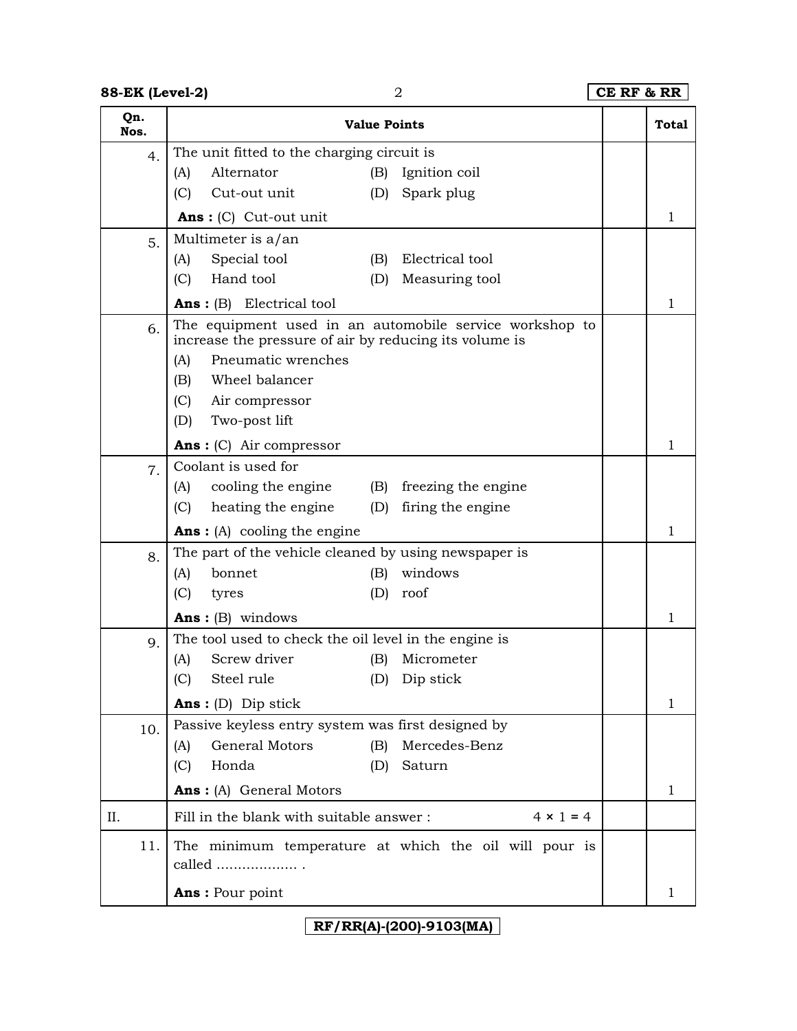## **88-EK (Level-2)** 2 **CE RF & RR**

| Qn.<br>Nos. | <b>Value Points</b>                                                                                                                                                                                                                                           |                                          | <b>Total</b> |
|-------------|---------------------------------------------------------------------------------------------------------------------------------------------------------------------------------------------------------------------------------------------------------------|------------------------------------------|--------------|
| 4.          | The unit fitted to the charging circuit is<br>Alternator<br>(A)<br>(B)<br>(C)<br>Cut-out unit<br>(D)                                                                                                                                                          | Ignition coil<br>Spark plug              |              |
|             | $Ans: (C)$ Cut-out unit                                                                                                                                                                                                                                       |                                          | 1            |
| 5.          | Multimeter is a/an<br>Special tool<br>(A)<br>(B)<br>Hand tool<br>(C)<br>(D)<br><b>Ans:</b> $(B)$ Electrical tool                                                                                                                                              | Electrical tool<br>Measuring tool        | 1            |
| 6.          | The equipment used in an automobile service workshop to<br>increase the pressure of air by reducing its volume is<br>Pneumatic wrenches<br>(A)<br>Wheel balancer<br>(B)<br>(C)<br>Air compressor<br>Two-post lift<br>(D)<br><b>Ans</b> : $(C)$ Air compressor |                                          | 1            |
| 7.          | Coolant is used for                                                                                                                                                                                                                                           |                                          |              |
|             | cooling the engine<br>(A)<br>(B)<br>heating the engine<br>(C)<br>(D)<br><b>Ans:</b> (A) cooling the engine                                                                                                                                                    | freezing the engine<br>firing the engine | 1            |
| 8.          | The part of the vehicle cleaned by using newspaper is<br>bonnet<br>windows<br>(A)<br>(B)<br>(C)<br>(D)<br>roof<br>tyres<br><b>Ans:</b> $(B)$ windows                                                                                                          |                                          | 1            |
|             | The tool used to check the oil level in the engine is                                                                                                                                                                                                         |                                          |              |
| 9.          | Screw driver<br>(A)<br>(B)<br>Steel rule<br>(C)<br>(D) Dip stick                                                                                                                                                                                              | Micrometer                               | 1            |
| 10.         | <b>Ans</b> : (D) Dip stick<br>Passive keyless entry system was first designed by                                                                                                                                                                              |                                          |              |
|             | General Motors<br>(B)<br>(A)<br>Honda<br>(C)<br>Saturn<br>(D)                                                                                                                                                                                                 | Mercedes-Benz                            |              |
|             | Ans: (A) General Motors                                                                                                                                                                                                                                       |                                          | 1            |
| II.         | Fill in the blank with suitable answer:                                                                                                                                                                                                                       | $4 \times 1 = 4$                         |              |
| 11.         | The minimum temperature at which the oil will pour is<br>called<br>Ans: Pour point                                                                                                                                                                            |                                          | 1            |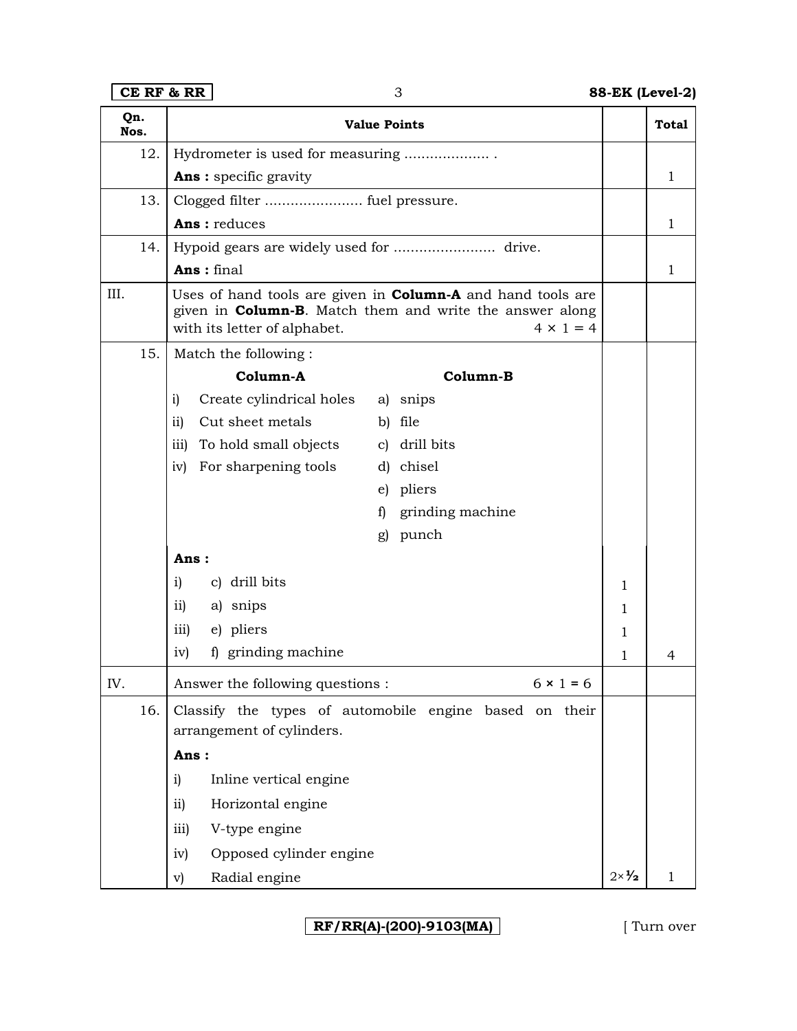**CE RF & RR** 3 **88-EK (Level-2)**

|      | Qn.<br>Nos. | <b>Value Points</b>                                                                                                                                                                        |                        | <b>Total</b> |
|------|-------------|--------------------------------------------------------------------------------------------------------------------------------------------------------------------------------------------|------------------------|--------------|
|      | 12.         | Hydrometer is used for measuring                                                                                                                                                           |                        |              |
|      |             | <b>Ans</b> : specific gravity                                                                                                                                                              |                        | 1            |
|      | 13.         |                                                                                                                                                                                            |                        |              |
|      |             | Ans: reduces                                                                                                                                                                               |                        | 1            |
|      | 14.         |                                                                                                                                                                                            |                        |              |
|      |             | Ans: final                                                                                                                                                                                 |                        | 1            |
| III. |             | Uses of hand tools are given in <b>Column-A</b> and hand tools are<br>given in <b>Column-B</b> . Match them and write the answer along<br>$4 \times 1 = 4$<br>with its letter of alphabet. |                        |              |
|      | 15.         | Match the following:                                                                                                                                                                       |                        |              |
|      |             | Column-A<br>Column-B                                                                                                                                                                       |                        |              |
|      |             | Create cylindrical holes<br>a) snips<br>i)                                                                                                                                                 |                        |              |
|      |             | Cut sheet metals<br>ii)<br>b) file                                                                                                                                                         |                        |              |
|      |             | c) drill bits<br>To hold small objects<br>iii)                                                                                                                                             |                        |              |
|      |             | For sharpening tools<br>d) chisel<br>iv)                                                                                                                                                   |                        |              |
|      |             | e) pliers                                                                                                                                                                                  |                        |              |
|      |             | grinding machine<br>f)                                                                                                                                                                     |                        |              |
|      |             | punch<br>g)                                                                                                                                                                                |                        |              |
|      |             | Ans:                                                                                                                                                                                       |                        |              |
|      |             | c) drill bits<br>i)                                                                                                                                                                        | 1                      |              |
|      |             | $\overline{11}$<br>a) snips                                                                                                                                                                | 1                      |              |
|      |             | e) pliers<br>iii)                                                                                                                                                                          | 1                      |              |
|      |             | f) grinding machine<br>iv)                                                                                                                                                                 | 1                      | 4            |
| IV.  |             | Answer the following questions :<br>$6 \times 1 = 6$                                                                                                                                       |                        |              |
|      | 16.         | Classify the types of automobile engine based on their<br>arrangement of cylinders.                                                                                                        |                        |              |
|      |             | Ans:                                                                                                                                                                                       |                        |              |
|      |             | Inline vertical engine<br>i)                                                                                                                                                               |                        |              |
|      |             | Horizontal engine<br>$\overline{11}$                                                                                                                                                       |                        |              |
|      |             | V-type engine<br>iii)                                                                                                                                                                      |                        |              |
|      |             | Opposed cylinder engine<br>iv)                                                                                                                                                             |                        |              |
|      |             | Radial engine<br>v)                                                                                                                                                                        | $2 \times \frac{1}{2}$ | 1            |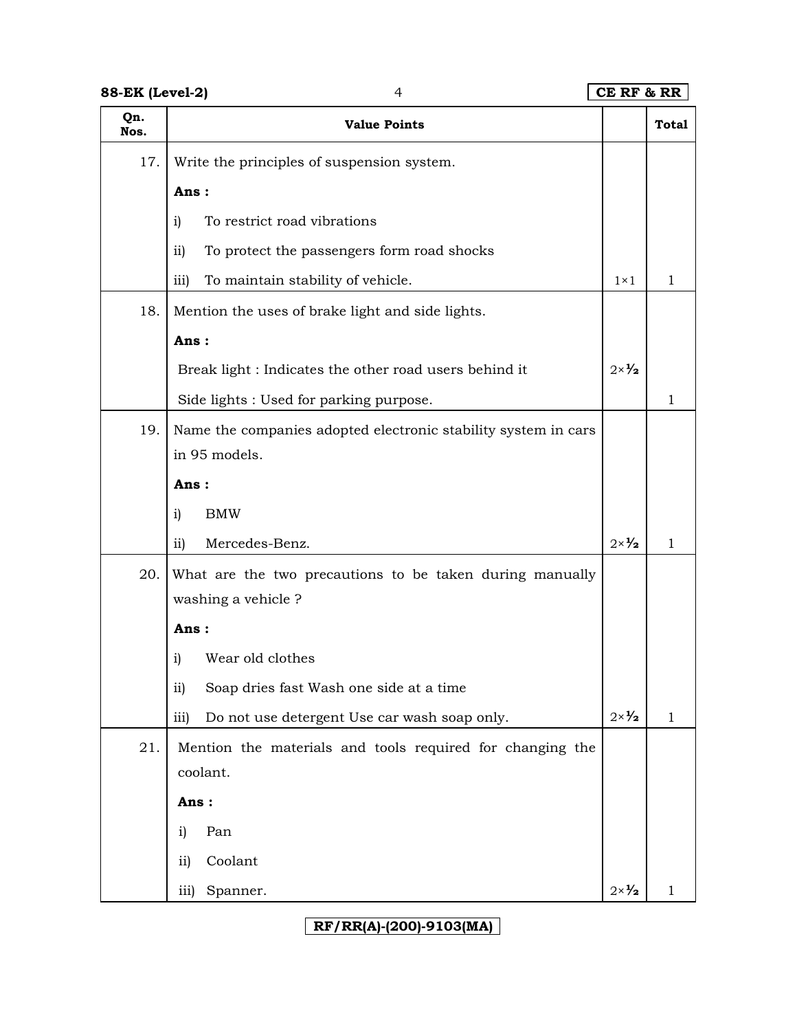**88-EK (Level-2)** 4 **CE RF & RR Qn. Nos. Value Points Total** 17. Write the principles of suspension system. **Ans :** i) To restrict road vibrations ii) To protect the passengers form road shocks iii) To maintain stability of vehicle.  $1 \times 1$  1 1 18. Mention the uses of brake light and side lights. **Ans :** Break light : Indicates the other road users behind it Side lights : Used for parking purpose. 2×**½** 1 19. Name the companies adopted electronic stability system in cars in 95 models. **Ans :** i) BMW ii) Mercedes-Benz.  $2 \times \mathcal{V}_2$  1 20. What are the two precautions to be taken during manually washing a vehicle ? **Ans :** i) Wear old clothes ii) Soap dries fast Wash one side at a time iii) Do not use detergent Use car wash soap only.  $2 \times \frac{1}{2}$  1 21. Mention the materials and tools required for changing the coolant. **Ans :**  i) Pan ii) Coolant

**RF/RR(A)-(200)-9103(MA)** 

iii) Spanner.  $2 \times \frac{1}{2}$  1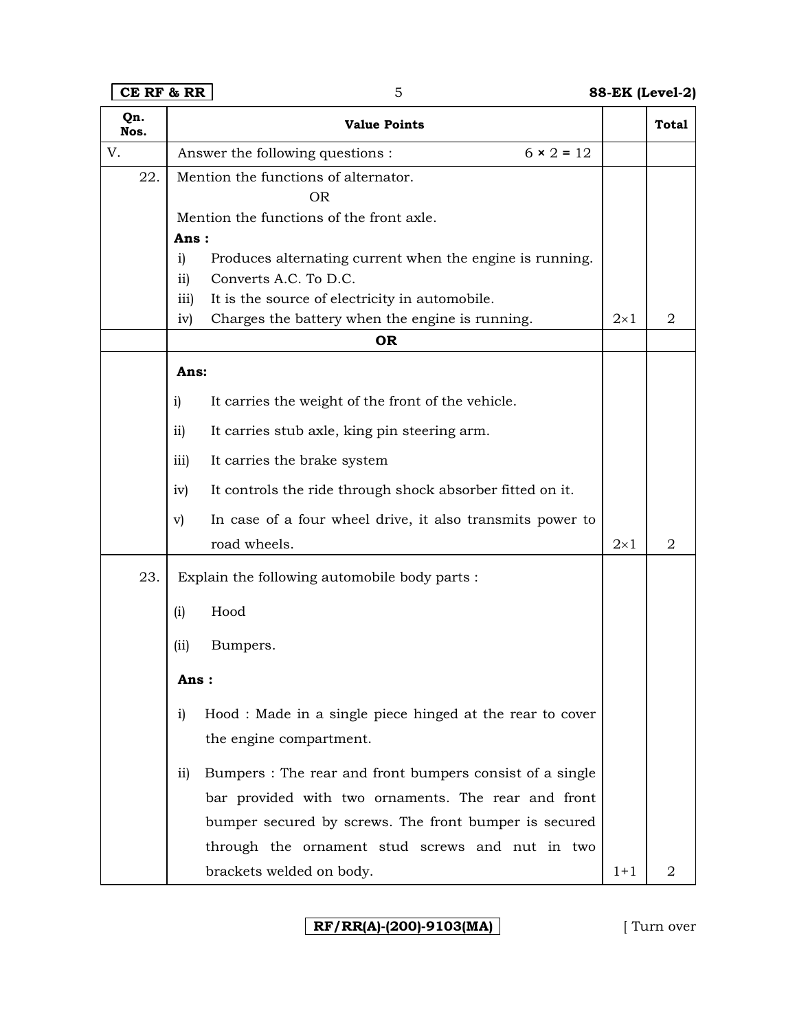**CE RF & RR** 5 **88-EK (Level-2)**

| Qn.<br>Nos. |                 | <b>Value Points</b>                                       |            | <b>Total</b>   |
|-------------|-----------------|-----------------------------------------------------------|------------|----------------|
| V.          |                 | $6 \times 2 = 12$<br>Answer the following questions :     |            |                |
| 22.         |                 | Mention the functions of alternator.<br><b>OR</b>         |            |                |
|             |                 | Mention the functions of the front axle.                  |            |                |
|             | Ans:            |                                                           |            |                |
|             | i)              | Produces alternating current when the engine is running.  |            |                |
|             | $\overline{11}$ | Converts A.C. To D.C.                                     |            |                |
|             | iii)            | It is the source of electricity in automobile.            |            |                |
|             | iv)             | Charges the battery when the engine is running.           | $2\times1$ | 2              |
|             |                 | <b>OR</b>                                                 |            |                |
|             | Ans:            |                                                           |            |                |
|             | i)              | It carries the weight of the front of the vehicle.        |            |                |
|             | $\overline{ii}$ | It carries stub axle, king pin steering arm.              |            |                |
|             | iii)            | It carries the brake system                               |            |                |
|             | iv)             | It controls the ride through shock absorber fitted on it. |            |                |
|             | $\mathbf{v})$   | In case of a four wheel drive, it also transmits power to |            |                |
|             |                 | road wheels.                                              | $2\times1$ | $\overline{2}$ |
| 23.         |                 | Explain the following automobile body parts :             |            |                |
|             | (i)             | Hood                                                      |            |                |
|             | (iii)           | Bumpers.                                                  |            |                |
|             | Ans :           |                                                           |            |                |
|             | i)              | Hood: Made in a single piece hinged at the rear to cover  |            |                |
|             |                 | the engine compartment.                                   |            |                |
|             | $\overline{11}$ | Bumpers: The rear and front bumpers consist of a single   |            |                |
|             |                 | bar provided with two ornaments. The rear and front       |            |                |
|             |                 | bumper secured by screws. The front bumper is secured     |            |                |
|             |                 | through the ornament stud screws and nut in two           |            |                |
|             |                 | brackets welded on body.                                  | $1 + 1$    | 2              |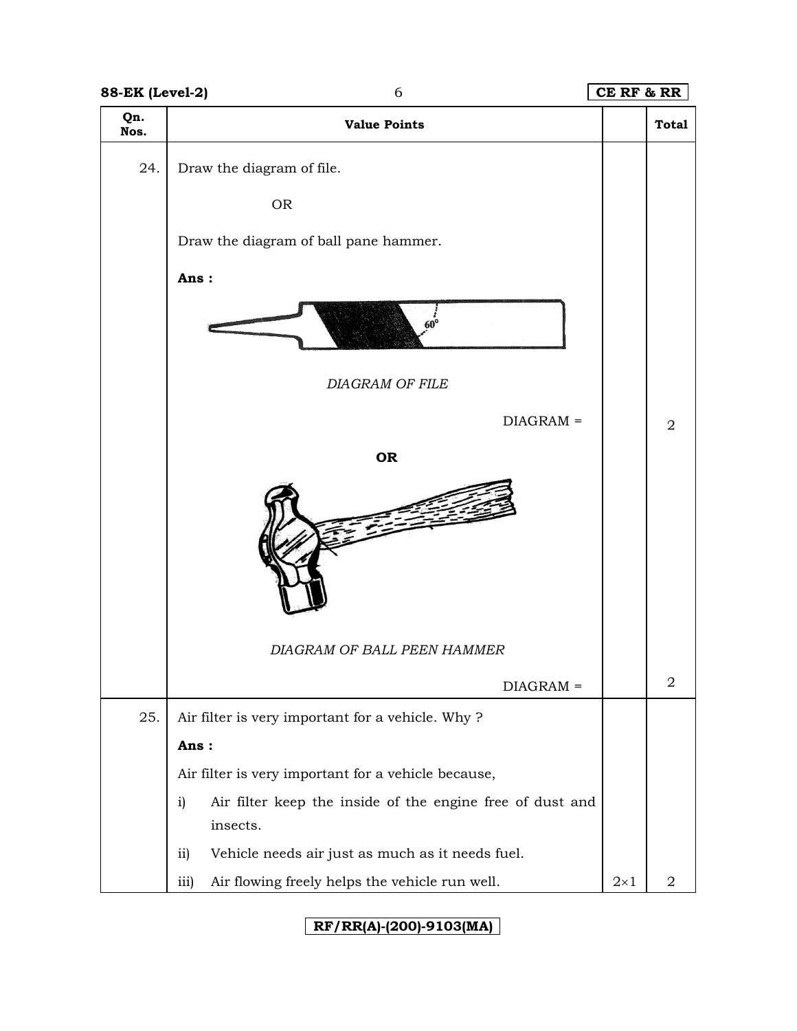| <b>88-EK (Level-2)</b> | 6                                                                           | CE RF & RR |                |
|------------------------|-----------------------------------------------------------------------------|------------|----------------|
| Qn.<br>Nos.            | <b>Value Points</b>                                                         |            | <b>Total</b>   |
| 24.                    | Draw the diagram of file.                                                   |            |                |
|                        | <b>OR</b>                                                                   |            |                |
|                        | Draw the diagram of ball pane hammer.                                       |            |                |
|                        | Ans:                                                                        |            |                |
|                        |                                                                             |            |                |
|                        | <b>DIAGRAM OF FILE</b>                                                      |            |                |
|                        | $DIAGRAM =$                                                                 |            | $\overline{2}$ |
|                        | <b>OR</b>                                                                   |            |                |
|                        |                                                                             |            |                |
|                        | DIAGRAM OF BALL PEEN HAMMER                                                 |            |                |
|                        | $DIAGRAM =$                                                                 |            | $\overline{2}$ |
| 25.                    | Air filter is very important for a vehicle. Why?                            |            |                |
|                        | Ans:                                                                        |            |                |
|                        | Air filter is very important for a vehicle because,                         |            |                |
|                        | Air filter keep the inside of the engine free of dust and<br>i)<br>insects. |            |                |
|                        | Vehicle needs air just as much as it needs fuel.<br>ii)                     |            |                |
|                        | Air flowing freely helps the vehicle run well.<br>iii)                      | $2\times1$ | 2              |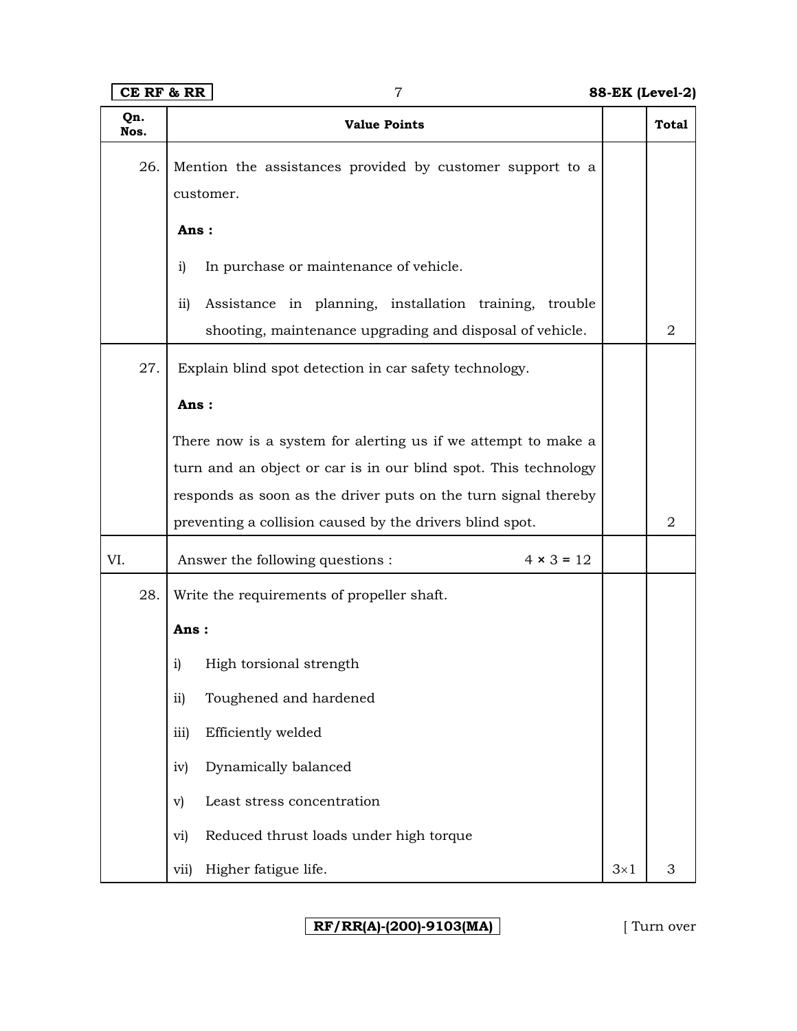**CE RF & RR** 7 **88-EK (Level-2)**

|             |     | רה עד מי ער<br>ן ב-וסטסען גוש-סט                                       |            |                |
|-------------|-----|------------------------------------------------------------------------|------------|----------------|
| Qn.<br>Nos. |     | <b>Value Points</b>                                                    |            | <b>Total</b>   |
|             | 26. | Mention the assistances provided by customer support to a<br>customer. |            |                |
|             |     | Ans:                                                                   |            |                |
|             |     | In purchase or maintenance of vehicle.<br>i)                           |            |                |
|             |     | Assistance in planning, installation training, trouble<br>ii)          |            |                |
|             |     | shooting, maintenance upgrading and disposal of vehicle.               |            | $\overline{2}$ |
|             | 27. | Explain blind spot detection in car safety technology.                 |            |                |
|             |     | Ans:                                                                   |            |                |
|             |     | There now is a system for alerting us if we attempt to make a          |            |                |
|             |     | turn and an object or car is in our blind spot. This technology        |            |                |
|             |     | responds as soon as the driver puts on the turn signal thereby         |            |                |
|             |     | preventing a collision caused by the drivers blind spot.               |            | $\overline{2}$ |
| VI.         |     | Answer the following questions :<br>$4 \times 3 = 12$                  |            |                |
|             | 28. | Write the requirements of propeller shaft.                             |            |                |
|             |     | Ans:                                                                   |            |                |
|             |     | High torsional strength<br>i)                                          |            |                |
|             |     | Toughened and hardened<br>ii)                                          |            |                |
|             |     | Efficiently welded<br>iii)                                             |            |                |
|             |     | Dynamically balanced<br>iv)                                            |            |                |
|             |     | Least stress concentration<br>$\mathbf{v}$                             |            |                |
|             |     | Reduced thrust loads under high torque<br>vi)                          |            |                |
|             |     | Higher fatigue life.<br>vii)                                           | $3\times1$ | 3              |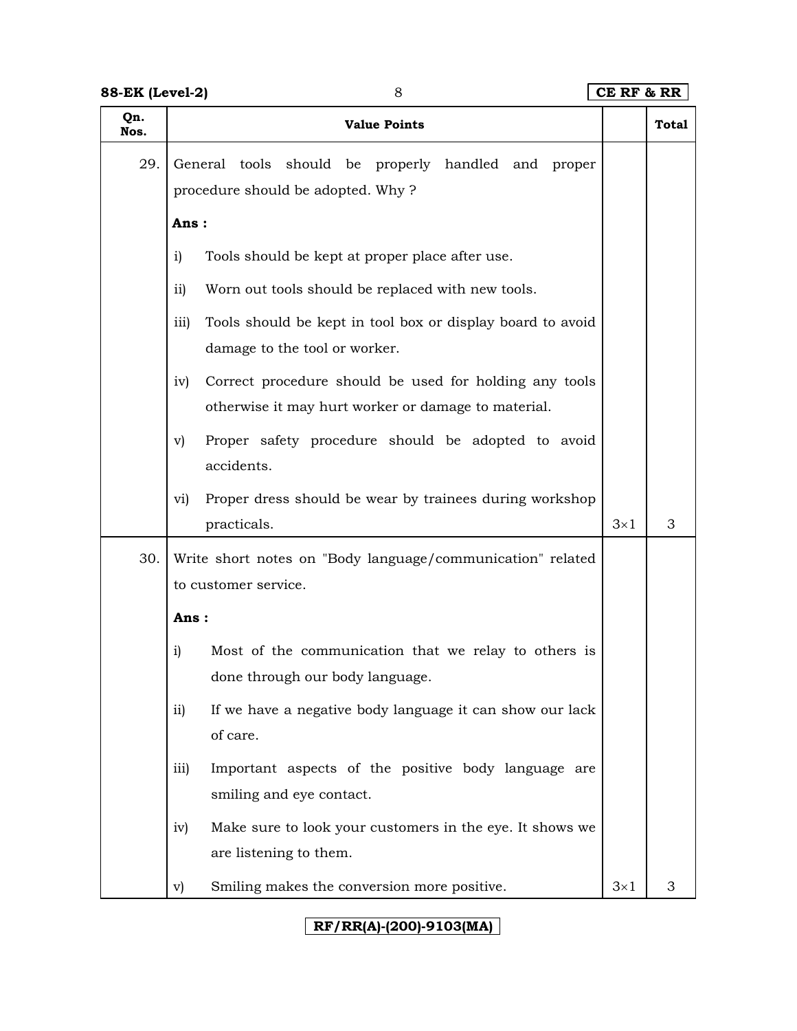| Qn.<br>Nos. | <b>Value Points</b>                                                                           |            | Total |
|-------------|-----------------------------------------------------------------------------------------------|------------|-------|
| 29.         | General tools should be properly handled and<br>proper<br>procedure should be adopted. Why?   |            |       |
|             | Ans:                                                                                          |            |       |
|             | Tools should be kept at proper place after use.<br>i)                                         |            |       |
|             | ii)<br>Worn out tools should be replaced with new tools.                                      |            |       |
|             | iii)<br>Tools should be kept in tool box or display board to avoid                            |            |       |
|             | damage to the tool or worker.                                                                 |            |       |
|             | Correct procedure should be used for holding any tools<br>iv)                                 |            |       |
|             | otherwise it may hurt worker or damage to material.                                           |            |       |
|             | Proper safety procedure should be adopted to avoid<br>$\mathbf{v})$                           |            |       |
|             | accidents.                                                                                    |            |       |
|             | Proper dress should be wear by trainees during workshop<br>vi)                                |            | 3     |
|             | practicals.                                                                                   | $3\times1$ |       |
| 30.         | Write short notes on "Body language/communication" related<br>to customer service.            |            |       |
|             | Ans:                                                                                          |            |       |
|             | i)<br>Most of the communication that we relay to others is<br>done through our body language. |            |       |
|             | If we have a negative body language it can show our lack<br>ii)<br>of care.                   |            |       |
|             | Important aspects of the positive body language are<br>iii)<br>smiling and eye contact.       |            |       |
|             | Make sure to look your customers in the eye. It shows we<br>iv)<br>are listening to them.     |            |       |
|             | Smiling makes the conversion more positive.<br>v)                                             | $3\times1$ | 3     |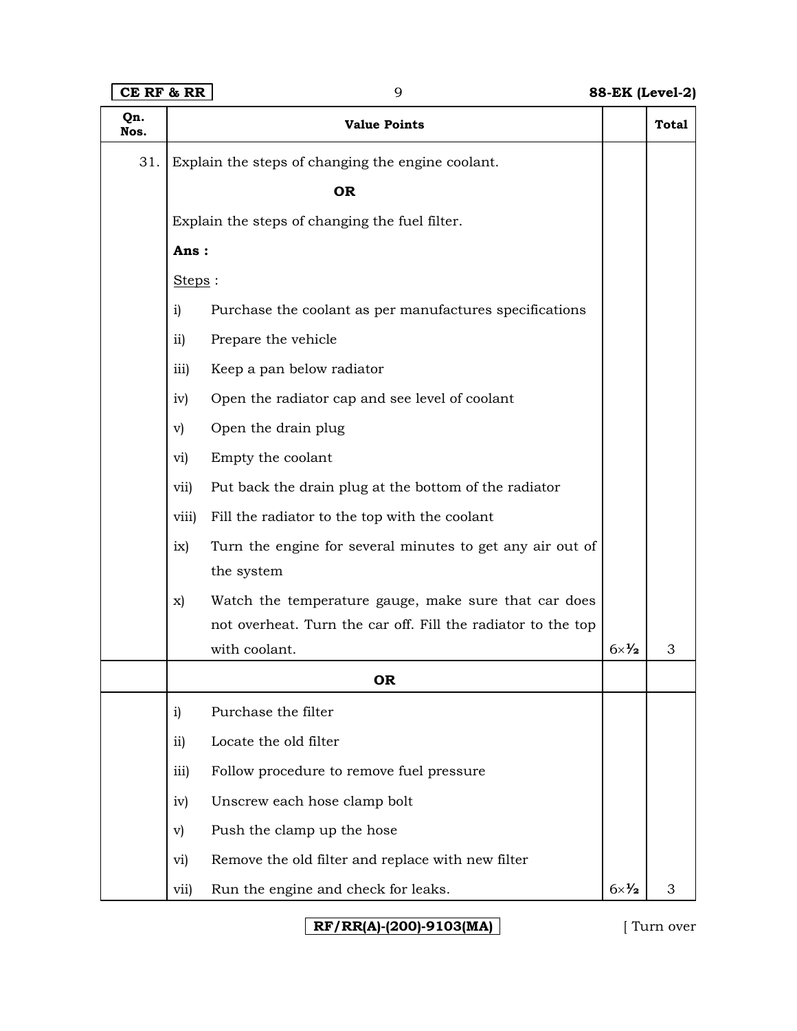# **CE RF & RR** 9 **88-EK (Level-2)**

| Qn.<br>Nos. |                 | <b>Value Points</b>                                                     |                        | Total |
|-------------|-----------------|-------------------------------------------------------------------------|------------------------|-------|
| 31.         |                 | Explain the steps of changing the engine coolant.                       |                        |       |
|             |                 | <b>OR</b>                                                               |                        |       |
|             |                 | Explain the steps of changing the fuel filter.                          |                        |       |
|             | Ans:            |                                                                         |                        |       |
|             | Steps:          |                                                                         |                        |       |
|             | i)              | Purchase the coolant as per manufactures specifications                 |                        |       |
|             | $\overline{11}$ | Prepare the vehicle                                                     |                        |       |
|             | iii)            | Keep a pan below radiator                                               |                        |       |
|             | iv)             | Open the radiator cap and see level of coolant                          |                        |       |
|             | $\mathbf{v}$    | Open the drain plug                                                     |                        |       |
|             | vi)             | Empty the coolant                                                       |                        |       |
|             | vii)            | Put back the drain plug at the bottom of the radiator                   |                        |       |
|             | viii)           | Fill the radiator to the top with the coolant                           |                        |       |
|             | ix)             | Turn the engine for several minutes to get any air out of<br>the system |                        |       |
|             | X)              | Watch the temperature gauge, make sure that car does                    |                        |       |
|             |                 | not overheat. Turn the car off. Fill the radiator to the top            |                        |       |
|             |                 | with coolant.                                                           | $6 \times \frac{1}{2}$ | 3     |
|             |                 | OR                                                                      |                        |       |
|             | i)              | Purchase the filter                                                     |                        |       |
|             | $\overline{ii}$ | Locate the old filter                                                   |                        |       |
|             | iii)            | Follow procedure to remove fuel pressure                                |                        |       |
|             | iv)             | Unscrew each hose clamp bolt                                            |                        |       |
|             | $\mathbf{v})$   | Push the clamp up the hose                                              |                        |       |
|             | vi)             | Remove the old filter and replace with new filter                       |                        |       |
|             | vii)            | Run the engine and check for leaks.                                     | $6 \times \frac{1}{2}$ | 3     |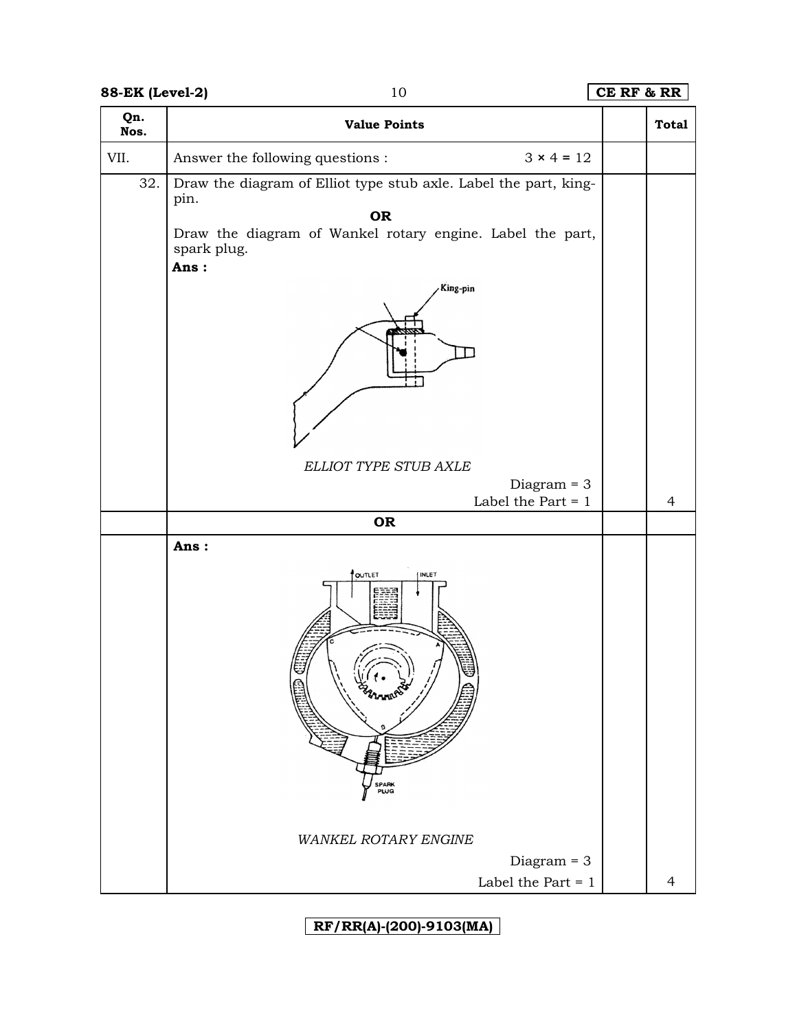## **88-EK (Level-2)** 10 **CE RF & RR**

| Qn.<br>Nos. | <b>Value Points</b>                                                              | <b>Total</b>   |
|-------------|----------------------------------------------------------------------------------|----------------|
| VII.        | Answer the following questions :<br>$3 \times 4 = 12$                            |                |
| 32.         | Draw the diagram of Elliot type stub axle. Label the part, king-<br>pin.<br>OR   |                |
|             | Draw the diagram of Wankel rotary engine. Label the part,<br>spark plug.<br>Ans: |                |
|             | King-pin                                                                         |                |
|             | ELLIOT TYPE STUB AXLE<br>Diagram $=$ 3                                           |                |
|             | Label the Part $= 1$<br>OR                                                       | $\overline{4}$ |
|             | Ans:                                                                             |                |
|             | <b>POUTLET</b><br>INLET<br>SPARK<br>PLUG                                         |                |
|             | WANKEL ROTARY ENGINE                                                             |                |
|             | Diagram $=$ 3<br>Label the Part $=1$                                             | 4              |